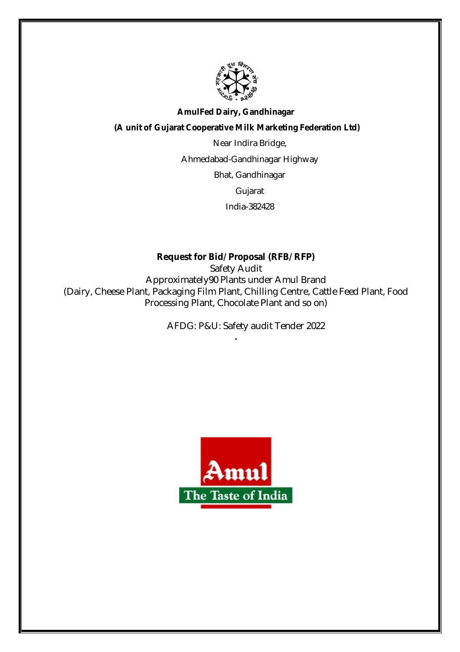

## **AmulFed Dairy, Gandhinagar**

## **(A unit of Gujarat Cooperative Milk Marketing Federation Ltd)**

Near Indira Bridge,

Ahmedabad-Gandhinagar Highway

Bhat, Gandhinagar

Gujarat

India-382428

# **Request for Bid/ Proposal (RFB/ RFP)**

Safety Audit Approximately90 Plants under Amul Brand (Dairy, Cheese Plant, Packaging Film Plant, Chilling Centre, Cattle Feed Plant, Food Processing Plant, Chocolate Plant and so on)

**.**

AFDG: P&U: Safety audit Tender 2022

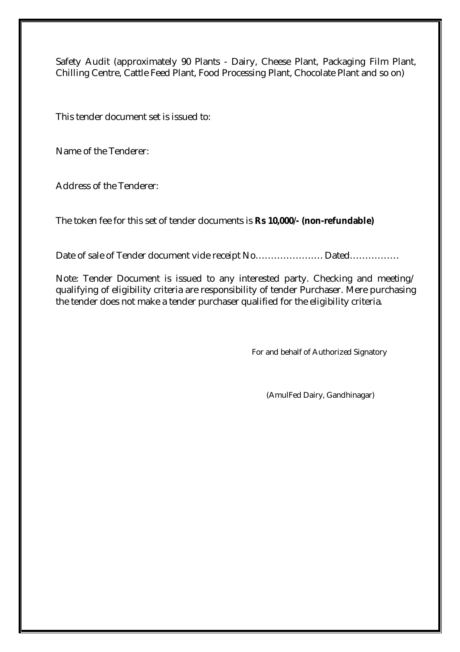Safety Audit (approximately 90 Plants - Dairy, Cheese Plant, Packaging Film Plant, Chilling Centre, Cattle Feed Plant, Food Processing Plant, Chocolate Plant and so on)

This tender document set is issued to:

Name of the Tenderer:

Address of the Tenderer:

The token fee for this set of tender documents is **Rs 10,000/- (non-refundable)**

Date of sale of Tender document vide receipt No…………………………………………………………………………………………

Note: Tender Document is issued to any interested party. Checking and meeting/ qualifying of eligibility criteria are responsibility of tender Purchaser. Mere purchasing the tender does not make a tender purchaser qualified for the eligibility criteria.

For and behalf of Authorized Signatory

(AmulFed Dairy, Gandhinagar)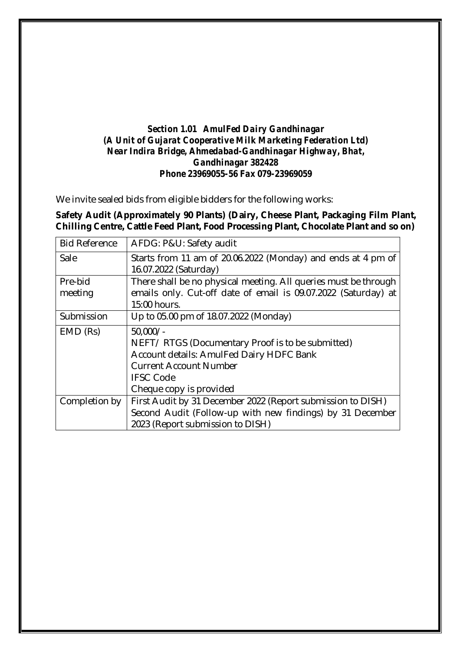# *Section 1.01 AmulFed Dairy Gandhinagar (A Unit of Gujarat Cooperative Milk Marketing Federation Ltd) Near Indira Bridge, Ahmedabad-Gandhinagar Highway, Bhat, Gandhinagar 382428 Phone 23969055-56 Fax 079-23969059*

We invite sealed bids from eligible bidders for the following works:

**Safety Audit (Approximately 90 Plants) (Dairy, Cheese Plant, Packaging Film Plant, Chilling Centre, Cattle Feed Plant, Food Processing Plant, Chocolate Plant and so on)**

| <b>Bid Reference</b>                                                 | AFDG: P&U: Safety audit                                         |  |  |
|----------------------------------------------------------------------|-----------------------------------------------------------------|--|--|
| Starts from 11 am of 20.06.2022 (Monday) and ends at 4 pm of<br>Sale |                                                                 |  |  |
|                                                                      | 16.07.2022 (Saturday)                                           |  |  |
| Pre-bid                                                              | There shall be no physical meeting. All queries must be through |  |  |
| meeting                                                              | emails only. Cut-off date of email is 09.07.2022 (Saturday) at  |  |  |
|                                                                      | 15:00 hours.                                                    |  |  |
| Submission                                                           | Up to 05.00 pm of 18.07.2022 (Monday)                           |  |  |
| EMD (Rs)                                                             | $50,000/-$                                                      |  |  |
|                                                                      | NEFT/RTGS (Documentary Proof is to be submitted)                |  |  |
|                                                                      | <b>Account details: AmulFed Dairy HDFC Bank</b>                 |  |  |
|                                                                      | <b>Current Account Number</b>                                   |  |  |
|                                                                      | <b>IFSC Code</b>                                                |  |  |
|                                                                      | Cheque copy is provided                                         |  |  |
| Completion by                                                        | First Audit by 31 December 2022 (Report submission to DISH)     |  |  |
|                                                                      | Second Audit (Follow-up with new findings) by 31 December       |  |  |
|                                                                      | 2023 (Report submission to DISH)                                |  |  |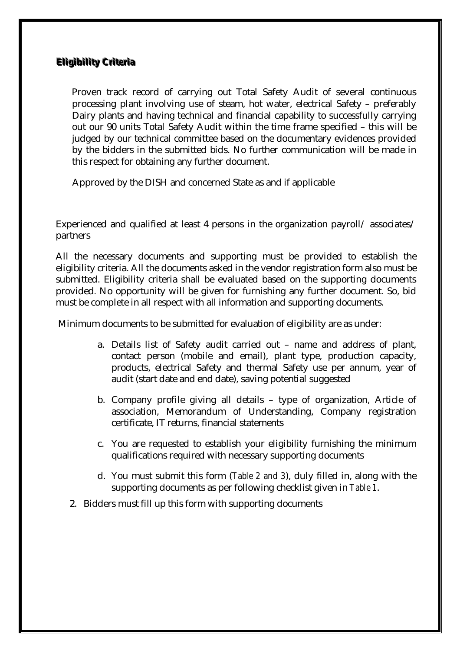# **Eligibility Criteria**

 Proven track record of carrying out Total Safety Audit of several continuous processing plant involving use of steam, hot water, electrical Safety – preferably Dairy plants and having technical and financial capability to successfully carrying out our 90 units Total Safety Audit within the time frame specified – this will be judged by our technical committee based on the documentary evidences provided by the bidders in the submitted bids. No further communication will be made in this respect for obtaining any further document.

Approved by the DISH and concerned State as and if applicable

Experienced and qualified at least 4 persons in the organization payroll/ associates/ partners

All the necessary documents and supporting must be provided to establish the eligibility criteria. All the documents asked in the vendor registration form also must be submitted. Eligibility criteria shall be evaluated based on the supporting documents provided. No opportunity will be given for furnishing any further document. So, bid must be complete in all respect with all information and supporting documents.

Minimum documents to be submitted for evaluation of eligibility are as under:

- a. Details list of Safety audit carried out name and address of plant, contact person (mobile and email), plant type, production capacity, products, electrical Safety and thermal Safety use per annum, year of audit (start date and end date), saving potential suggested
- b. Company profile giving all details type of organization, Article of association, Memorandum of Understanding, Company registration certificate, IT returns, financial statements
- c. You are requested to establish your eligibility furnishing the minimum qualifications required with necessary supporting documents
- d. You must submit this form (*Table 2 and 3*), duly filled in, along with the supporting documents as per following checklist given in *Table 1*.
- 2. Bidders must fill up this form with supporting documents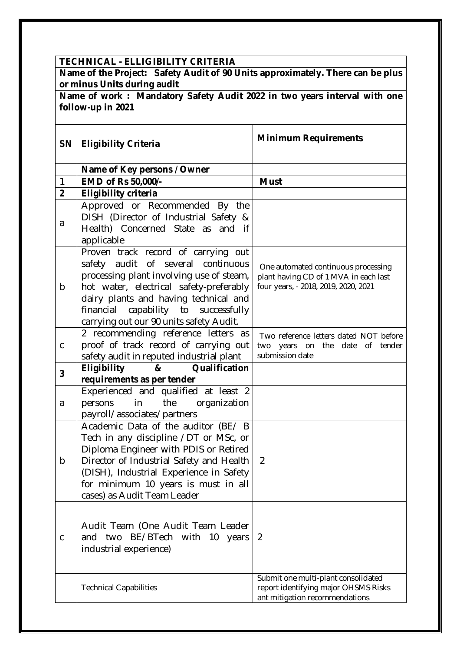# **TECHNICAL - ELLIGIBILITY CRITERIA**

**Name of the Project: Safety Audit of 90 Units approximately. There can be plus or minus Units during audit**

**Name of work : Mandatory Safety Audit 2022 in two years interval with one follow-up in 2021**

| <b>SN</b>      | <b>Eligibility Criteria</b>                                                                                                                                                                                                                                                                        | <b>Minimum Requirements</b>                                                                                          |
|----------------|----------------------------------------------------------------------------------------------------------------------------------------------------------------------------------------------------------------------------------------------------------------------------------------------------|----------------------------------------------------------------------------------------------------------------------|
|                | Name of Key persons / Owner                                                                                                                                                                                                                                                                        |                                                                                                                      |
| $\mathbf{1}$   | EMD of Rs 50,000/-                                                                                                                                                                                                                                                                                 | <b>Must</b>                                                                                                          |
| $\overline{2}$ | <b>Eligibility criteria</b>                                                                                                                                                                                                                                                                        |                                                                                                                      |
| a              | Approved or Recommended By the<br>DISH (Director of Industrial Safety &<br>Health) Concerned State as and if<br>applicable                                                                                                                                                                         |                                                                                                                      |
| b              | Proven track record of carrying out<br>safety audit of several<br>continuous<br>processing plant involving use of steam,<br>hot water, electrical safety-preferably<br>dairy plants and having technical and<br>financial<br>capability to successfully<br>carrying out our 90 units safety Audit. | One automated continuous processing<br>plant having CD of 1 MVA in each last<br>four years, - 2018, 2019, 2020, 2021 |
| $\mathsf C$    | 2 recommending reference letters as<br>proof of track record of carrying out<br>safety audit in reputed industrial plant                                                                                                                                                                           | Two reference letters dated NOT before<br>years on<br>two<br>the date<br>of tender<br>submission date                |
| $\mathbf{3}$   | Eligibility<br>Qualification<br>&                                                                                                                                                                                                                                                                  |                                                                                                                      |
| a              | requirements as per tender<br>Experienced and qualified at least 2<br>in<br>the<br>persons<br>organization<br>payroll/associates/partners                                                                                                                                                          |                                                                                                                      |
| b              | Academic Data of the auditor (BE/ B<br>Tech in any discipline /DT or MSc, or<br>Diploma Engineer with PDIS or Retired<br>Director of Industrial Safety and Health<br>(DISH), Industrial Experience in Safety<br>for minimum 10 years is must in all<br>cases) as Audit Team Leader                 | $\overline{2}$                                                                                                       |
| $\mathsf C$    | Audit Team (One Audit Team Leader<br>BE/BTech<br>with<br>two<br>10<br>and<br>years<br>industrial experience)                                                                                                                                                                                       | 2                                                                                                                    |
|                | <b>Technical Capabilities</b>                                                                                                                                                                                                                                                                      | Submit one multi-plant consolidated<br>report identifying major OHSMS Risks<br>ant mitigation recommendations        |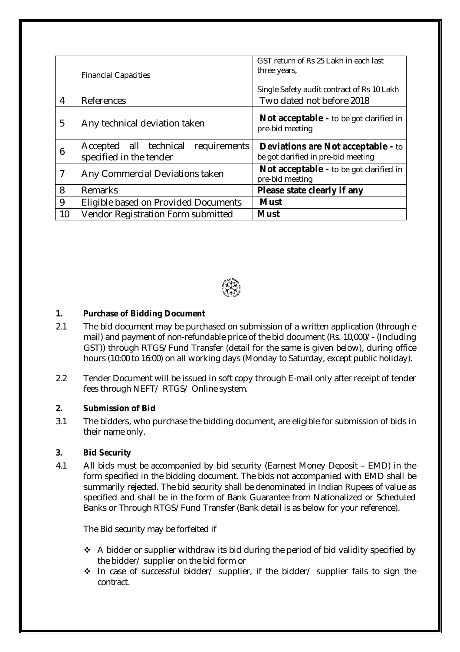| GST return of Rs 25 Lakh in each last<br>Single Safety audit contract of Rs 10 Lakh<br>Two dated not before 2018 |
|------------------------------------------------------------------------------------------------------------------|
|                                                                                                                  |
|                                                                                                                  |
|                                                                                                                  |
|                                                                                                                  |
|                                                                                                                  |
|                                                                                                                  |
| <b>Not acceptable - to be got clarified in</b>                                                                   |
| Deviations are Not acceptable - to                                                                               |
|                                                                                                                  |
| be got clarified in pre-bid meeting                                                                              |
| <b>Not acceptable - to be got clarified in</b>                                                                   |
|                                                                                                                  |
| Please state clearly if any                                                                                      |
|                                                                                                                  |
|                                                                                                                  |
|                                                                                                                  |
|                                                                                                                  |



## **1. Purchase of Bidding Document**

- 2.1 The bid document may be purchased on submission of a written application (through e mail) and payment of non-refundable price of the bid document (Rs. 10,000/- (Including GST)) through RTGS/Fund Transfer (detail for the same is given below), during office hours (10:00 to 16:00) on all working days (Monday to Saturday, except public holiday).
- 2.2 Tender Document will be issued in soft copy through E-mail only after receipt of tender fees through NEFT/ RTGS/ Online system.

#### **2. Submission of Bid**

3.1 The bidders, who purchase the bidding document, are eligible for submission of bids in their name only.

# **3. Bid Security**

4.1 All bids must be accompanied by bid security (Earnest Money Deposit – EMD) in the form specified in the bidding document. The bids not accompanied with EMD shall be summarily rejected. The bid security shall be denominated in Indian Rupees of value as specified and shall be in the form of Bank Guarantee from Nationalized or Scheduled Banks or Through RTGS/Fund Transfer (Bank detail is as below for your reference).

The Bid security may be forfeited if

- $\triangle$  A bidder or supplier withdraw its bid during the period of bid validity specified by the bidder/ supplier on the bid form or
- In case of successful bidder/ supplier, if the bidder/ supplier fails to sign the contract.